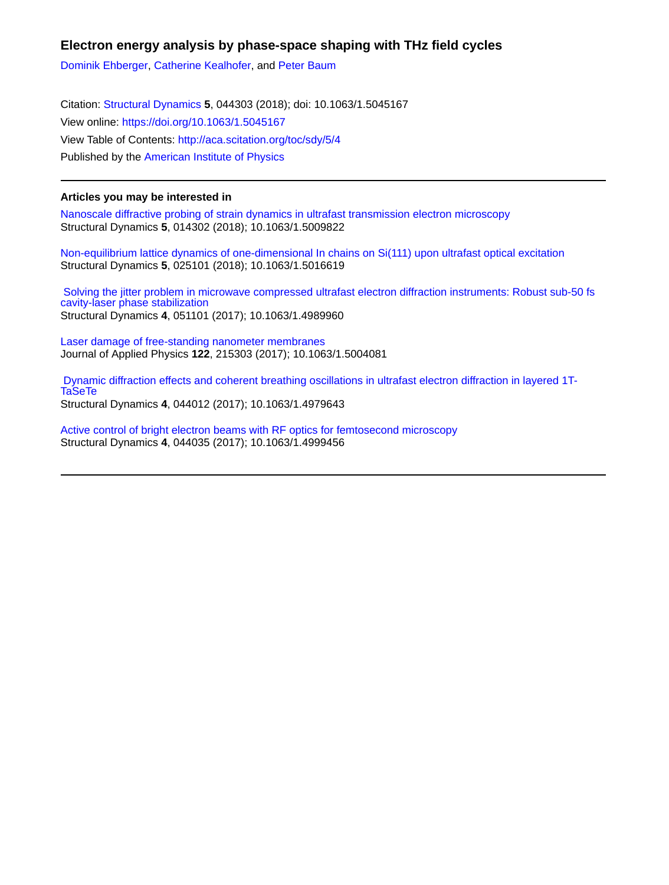# **Electron energy analysis by phase-space shaping with THz field cycles**

[Dominik Ehberger](http://aca.scitation.org/author/Ehberger%2C+Dominik), [Catherine Kealhofer,](http://aca.scitation.org/author/Kealhofer%2C+Catherine) and [Peter Baum](http://aca.scitation.org/author/Baum%2C+Peter)

Citation: [Structural Dynamics](/loi/sdy) **5**, 044303 (2018); doi: 10.1063/1.5045167 View online: <https://doi.org/10.1063/1.5045167> View Table of Contents: <http://aca.scitation.org/toc/sdy/5/4> Published by the [American Institute of Physics](http://aca.scitation.org/publisher/)

## **Articles you may be interested in**

[Nanoscale diffractive probing of strain dynamics in ultrafast transmission electron microscopy](http://aca.scitation.org/doi/abs/10.1063/1.5009822) Structural Dynamics **5**, 014302 (2018); 10.1063/1.5009822

[Non-equilibrium lattice dynamics of one-dimensional In chains on Si\(111\) upon ultrafast optical excitation](http://aca.scitation.org/doi/abs/10.1063/1.5016619) Structural Dynamics **5**, 025101 (2018); 10.1063/1.5016619

 [Solving the jitter problem in microwave compressed ultrafast electron diffraction instruments: Robust sub-50 fs](http://aca.scitation.org/doi/abs/10.1063/1.4989960) [cavity-laser phase stabilization](http://aca.scitation.org/doi/abs/10.1063/1.4989960) Structural Dynamics **4**, 051101 (2017); 10.1063/1.4989960

[Laser damage of free-standing nanometer membranes](http://aca.scitation.org/doi/abs/10.1063/1.5004081) Journal of Applied Physics **122**, 215303 (2017); 10.1063/1.5004081

 [Dynamic diffraction effects and coherent breathing oscillations in ultrafast electron diffraction in layered 1T-](http://aca.scitation.org/doi/abs/10.1063/1.4979643)[TaSeTe](http://aca.scitation.org/doi/abs/10.1063/1.4979643) Structural Dynamics **4**, 044012 (2017); 10.1063/1.4979643

[Active control of bright electron beams with RF optics for femtosecond microscopy](http://aca.scitation.org/doi/abs/10.1063/1.4999456) Structural Dynamics **4**, 044035 (2017); 10.1063/1.4999456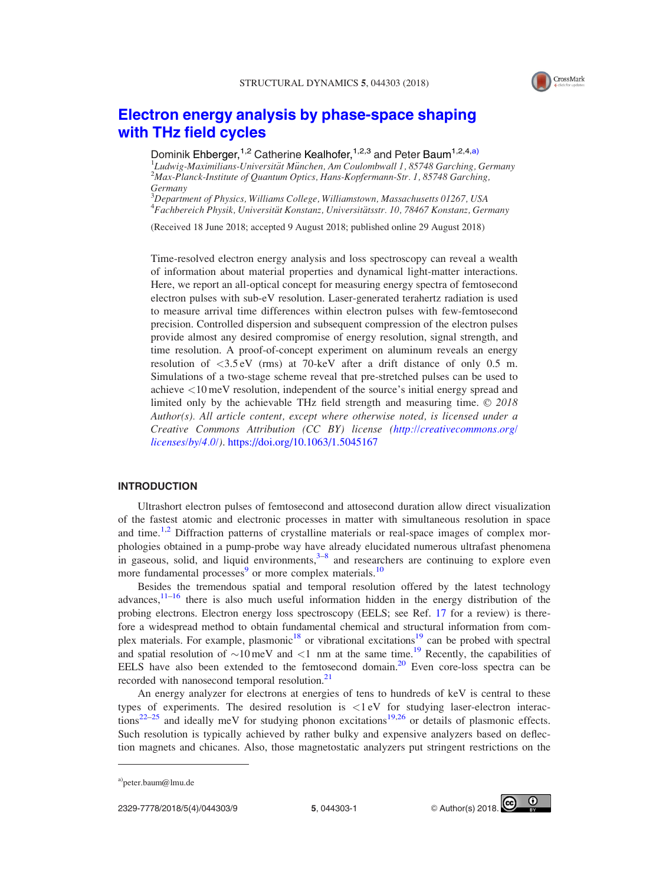

# [Electron energy analysis by phase-space shaping](https://doi.org/10.1063/1.5045167) [with THz field cycles](https://doi.org/10.1063/1.5045167)

Dominik Ehberger,<sup>1,2</sup> Catherine Kealhofer,<sup>1,2,3</sup> and Peter Baum<sup>1,2,4,a)</sup>

<sup>1</sup> Ludwig-Maximilians-Universität München, Am Coulombwall 1, 85748 Garching, Germany<br><sup>2</sup>Max Planck Institute of Quantum Optics, Hans Kopfermann Str. 1, 85748 Garching,  $^{2}$ Max-Planck-Institute of Quantum Optics, Hans-Kopfermann-Str. 1, 85748 Garching, Germany

<sup>3</sup>Department of Physics, Williams College, Williamstown, Massachusetts 01267, USA <sup>4</sup> Fachbereich Physik, Universität Konstanz, Universitätsstr. 10, 78467 Konstanz, Germany

(Received 18 June 2018; accepted 9 August 2018; published online 29 August 2018)

Time-resolved electron energy analysis and loss spectroscopy can reveal a wealth of information about material properties and dynamical light-matter interactions. Here, we report an all-optical concept for measuring energy spectra of femtosecond electron pulses with sub-eV resolution. Laser-generated terahertz radiation is used to measure arrival time differences within electron pulses with few-femtosecond precision. Controlled dispersion and subsequent compression of the electron pulses provide almost any desired compromise of energy resolution, signal strength, and time resolution. A proof-of-concept experiment on aluminum reveals an energy resolution of <3.5 eV (rms) at 70-keV after a drift distance of only 0.5 m. Simulations of a two-stage scheme reveal that pre-stretched pulses can be used to achieve <10 meV resolution, independent of the source's initial energy spread and limited only by the achievable THz field strength and measuring time.  $\odot$  2018 Author(s). All article content, except where otherwise noted, is licensed under a Creative Commons Attribution (CC BY) license [\(http://creativecommons.org/](http://creativecommons.org/licenses/by/4.0/) [licenses/by/4.0/](http://creativecommons.org/licenses/by/4.0/)). https://doi.org/10.1063/1.5045167

#### INTRODUCTION

Ultrashort electron pulses of femtosecond and attosecond duration allow direct visualization of the fastest atomic and electronic processes in matter with simultaneous resolution in space and time.<sup>[1,2](#page-8-0)</sup> Diffraction patterns of crystalline materials or real-space images of complex morphologies obtained in a pump-probe way have already elucidated numerous ultrafast phenomena in gaseous, solid, and liquid environments, $3-8$  and researchers are continuing to explore even more fundamental processes<sup>[9](#page-8-0)</sup> or more complex materials.<sup>[10](#page-8-0)</sup>

Besides the tremendous spatial and temporal resolution offered by the latest technology advances, $11-16$  there is also much useful information hidden in the energy distribution of the probing electrons. Electron energy loss spectroscopy (EELS; see Ref. [17](#page-8-0) for a review) is therefore a widespread method to obtain fundamental chemical and structural information from complex materials. For example, plasmonic<sup>18</sup> or vibrational excitations<sup>19</sup> can be probed with spectral and spatial resolution of  $\sim 10 \,\text{meV}$  and  $\lt 1$  nm at the same time.<sup>19</sup> Recently, the capabilities of EELS have also been extended to the femtosecond domain.<sup>20</sup> Even core-loss spectra can be recorded with nanosecond temporal resolution.<sup>[21](#page-8-0)</sup>

An energy analyzer for electrons at energies of tens to hundreds of keV is central to these types of experiments. The desired resolution is <1 eV for studying laser-electron interac- $tions<sup>22–25</sup>$  $tions<sup>22–25</sup>$  $tions<sup>22–25</sup>$  $tions<sup>22–25</sup>$  and ideally meV for studying phonon excitations<sup>[19,](#page-8-0)[26](#page-9-0)</sup> or details of plasmonic effects. Such resolution is typically achieved by rather bulky and expensive analyzers based on deflection magnets and chicanes. Also, those magnetostatic analyzers put stringent restrictions on the



a)[peter.baum@lmu.de](mailto:peter.baum@lmu.de)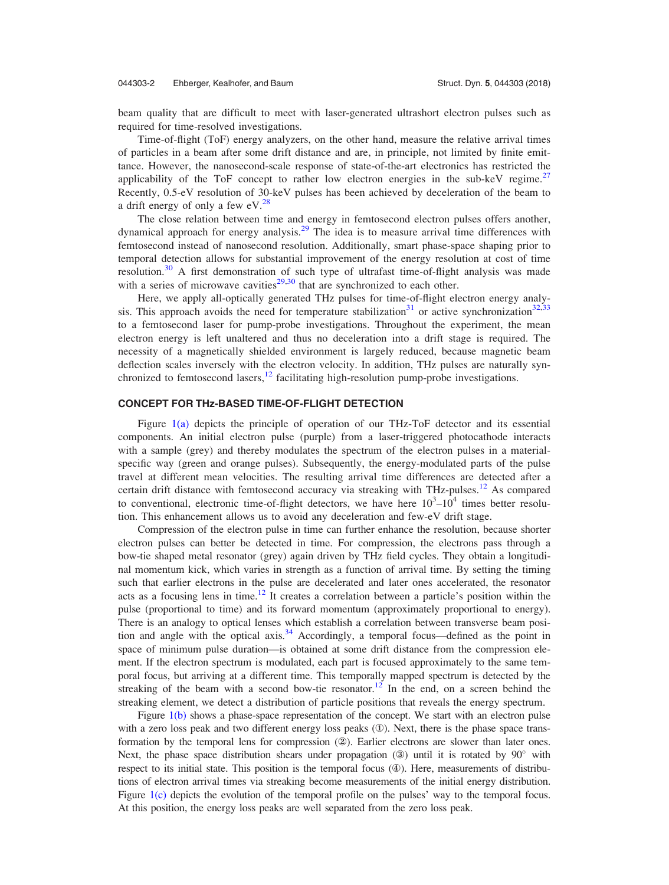beam quality that are difficult to meet with laser-generated ultrashort electron pulses such as required for time-resolved investigations.

Time-of-flight (ToF) energy analyzers, on the other hand, measure the relative arrival times of particles in a beam after some drift distance and are, in principle, not limited by finite emittance. However, the nanosecond-scale response of state-of-the-art electronics has restricted the applicability of the ToF concept to rather low electron energies in the sub-keV regime.<sup>[27](#page-9-0)</sup> Recently, 0.5-eV resolution of 30-keV pulses has been achieved by deceleration of the beam to a drift energy of only a few  $eV.<sup>28</sup>$  $eV.<sup>28</sup>$  $eV.<sup>28</sup>$ 

The close relation between time and energy in femtosecond electron pulses offers another, dynamical approach for energy analysis.<sup>[29](#page-9-0)</sup> The idea is to measure arrival time differences with femtosecond instead of nanosecond resolution. Additionally, smart phase-space shaping prior to temporal detection allows for substantial improvement of the energy resolution at cost of time resolution.<sup>[30](#page-9-0)</sup> A first demonstration of such type of ultrafast time-of-flight analysis was made with a series of microwave cavities<sup>[29,30](#page-9-0)</sup> that are synchronized to each other.

Here, we apply all-optically generated THz pulses for time-of-flight electron energy analy-sis. This approach avoids the need for temperature stabilization<sup>[31](#page-9-0)</sup> or active synchronization<sup>32,33</sup> to a femtosecond laser for pump-probe investigations. Throughout the experiment, the mean electron energy is left unaltered and thus no deceleration into a drift stage is required. The necessity of a magnetically shielded environment is largely reduced, because magnetic beam deflection scales inversely with the electron velocity. In addition, THz pulses are naturally synchronized to femtosecond lasers, $12$  facilitating high-resolution pump-probe investigations.

### CONCEPT FOR THz-BASED TIME-OF-FLIGHT DETECTION

Figure [1\(a\)](#page-3-0) depicts the principle of operation of our THz-ToF detector and its essential components. An initial electron pulse (purple) from a laser-triggered photocathode interacts with a sample (grey) and thereby modulates the spectrum of the electron pulses in a materialspecific way (green and orange pulses). Subsequently, the energy-modulated parts of the pulse travel at different mean velocities. The resulting arrival time differences are detected after a certain drift distance with femtosecond accuracy via streaking with THz-pulses.<sup>[12](#page-8-0)</sup> As compared to conventional, electronic time-of-flight detectors, we have here  $10^3$ – $10^4$  times better resolution. This enhancement allows us to avoid any deceleration and few-eV drift stage.

Compression of the electron pulse in time can further enhance the resolution, because shorter electron pulses can better be detected in time. For compression, the electrons pass through a bow-tie shaped metal resonator (grey) again driven by THz field cycles. They obtain a longitudinal momentum kick, which varies in strength as a function of arrival time. By setting the timing such that earlier electrons in the pulse are decelerated and later ones accelerated, the resonator acts as a focusing lens in time.<sup>[12](#page-8-0)</sup> It creates a correlation between a particle's position within the pulse (proportional to time) and its forward momentum (approximately proportional to energy). There is an analogy to optical lenses which establish a correlation between transverse beam posi-tion and angle with the optical axis.<sup>[34](#page-9-0)</sup> Accordingly, a temporal focus—defined as the point in space of minimum pulse duration—is obtained at some drift distance from the compression element. If the electron spectrum is modulated, each part is focused approximately to the same temporal focus, but arriving at a different time. This temporally mapped spectrum is detected by the streaking of the beam with a second bow-tie resonator.<sup>[12](#page-8-0)</sup> In the end, on a screen behind the streaking element, we detect a distribution of particle positions that reveals the energy spectrum.

Figure [1\(b\)](#page-3-0) shows a phase-space representation of the concept. We start with an electron pulse with a zero loss peak and two different energy loss peaks  $(①)$ . Next, there is the phase space transformation by the temporal lens for compression  $(2)$ . Earlier electrons are slower than later ones. Next, the phase space distribution shears under propagation  $(3)$  until it is rotated by  $90^{\circ}$  with respect to its initial state. This position is the temporal focus  $(\mathcal{L})$ . Here, measurements of distributions of electron arrival times via streaking become measurements of the initial energy distribution. Figure [1\(c\)](#page-3-0) depicts the evolution of the temporal profile on the pulses' way to the temporal focus. At this position, the energy loss peaks are well separated from the zero loss peak.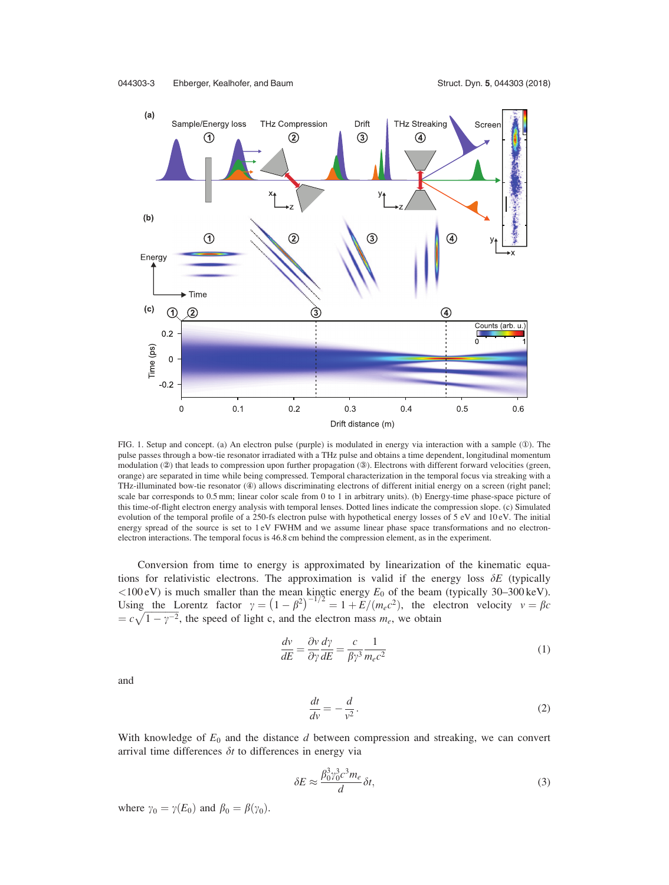<span id="page-3-0"></span>

FIG. 1. Setup and concept. (a) An electron pulse (purple) is modulated in energy via interaction with a sample (①). The pulse passes through a bow-tie resonator irradiated with a THz pulse and obtains a time dependent, longitudinal momentum modulation (2) that leads to compression upon further propagation (3). Electrons with different forward velocities (green, orange) are separated in time while being compressed. Temporal characterization in the temporal focus via streaking with a THz-illuminated bow-tie resonator (4) allows discriminating electrons of different initial energy on a screen (right panel; scale bar corresponds to 0.5 mm; linear color scale from 0 to 1 in arbitrary units). (b) Energy-time phase-space picture of this time-of-flight electron energy analysis with temporal lenses. Dotted lines indicate the compression slope. (c) Simulated evolution of the temporal profile of a 250-fs electron pulse with hypothetical energy losses of 5 eV and 10 eV. The initial energy spread of the source is set to 1 eV FWHM and we assume linear phase space transformations and no electronelectron interactions. The temporal focus is 46.8 cm behind the compression element, as in the experiment.

Conversion from time to energy is approximated by linearization of the kinematic equations for relativistic electrons. The approximation is valid if the energy loss  $\delta E$  (typically <100 eV) is much smaller than the mean kinetic energy  $E_0$  of the beam (typically 30–300 keV).<br>Using the Lorentz factor  $\gamma = (1 - \beta^2)^{-1/2} = 1 + E/(m_e c^2)$ , the electron velocity  $v = \beta c$  $= c\sqrt{1-\gamma^{-2}}$ , the speed of light c, and the electron mass  $m_e$ , we obtain

$$
\frac{dv}{dE} = \frac{\partial v}{\partial \gamma} \frac{d\gamma}{dE} = \frac{c}{\beta \gamma^3} \frac{1}{m_e c^2}
$$
(1)

and

$$
\frac{dt}{dv} = -\frac{d}{v^2}.\tag{2}
$$

With knowledge of  $E_0$  and the distance  $d$  between compression and streaking, we can convert arrival time differences  $\delta t$  to differences in energy via

$$
\delta E \approx \frac{\beta_0^3 \gamma_0^3 c^3 m_e}{d} \delta t,\tag{3}
$$

where  $\gamma_0 = \gamma(E_0)$  and  $\beta_0 = \beta(\gamma_0)$ .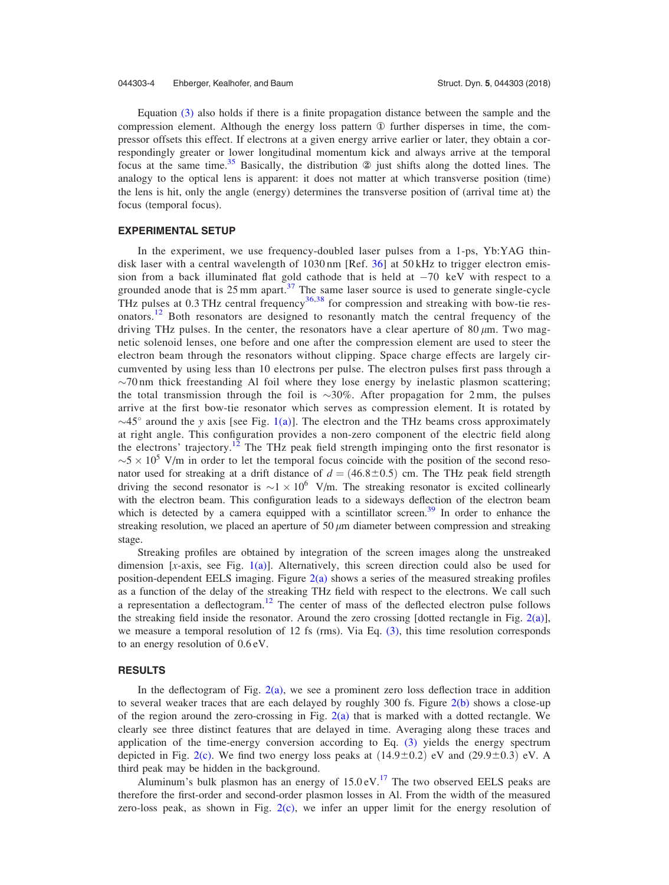Equation [\(3\)](#page-3-0) also holds if there is a finite propagation distance between the sample and the compression element. Although the energy loss pattern  $\Phi$  further disperses in time, the compressor offsets this effect. If electrons at a given energy arrive earlier or later, they obtain a correspondingly greater or lower longitudinal momentum kick and always arrive at the temporal focus at the same time.<sup>[35](#page-9-0)</sup> Basically, the distribution  $\circled{2}$  just shifts along the dotted lines. The analogy to the optical lens is apparent: it does not matter at which transverse position (time) the lens is hit, only the angle (energy) determines the transverse position of (arrival time at) the focus (temporal focus).

#### EXPERIMENTAL SETUP

In the experiment, we use frequency-doubled laser pulses from a 1-ps,  $Yb:YAG$  thin-disk laser with a central wavelength of 1030 nm [Ref. [36\]](#page-9-0) at 50 kHz to trigger electron emission from a back illuminated flat gold cathode that is held at  $-70 \text{ keV}$  with respect to a grounded anode that is  $25 \text{ mm}$  apart.<sup>[37](#page-9-0)</sup> The same laser source is used to generate single-cycle THz pulses at  $0.3$  THz central frequency<sup>[36,38](#page-9-0)</sup> for compression and streaking with bow-tie res-onators.<sup>[12](#page-8-0)</sup> Both resonators are designed to resonantly match the central frequency of the driving THz pulses. In the center, the resonators have a clear aperture of  $80 \mu m$ . Two magnetic solenoid lenses, one before and one after the compression element are used to steer the electron beam through the resonators without clipping. Space charge effects are largely circumvented by using less than 10 electrons per pulse. The electron pulses first pass through a  $\sim$ 70 nm thick freestanding Al foil where they lose energy by inelastic plasmon scattering; the total transmission through the foil is  $\sim$ 30%. After propagation for 2 mm, the pulses arrive at the first bow-tie resonator which serves as compression element. It is rotated by  $\sim$ 45° around the y axis [see Fig. [1\(a\)](#page-3-0)]. The electron and the THz beams cross approximately at right angle. This configuration provides a non-zero component of the electric field along the electrons' trajectory.<sup>[12](#page-8-0)</sup> The THz peak field strength impinging onto the first resonator is  $\sim$  5  $\times$  10<sup>5</sup> V/m in order to let the temporal focus coincide with the position of the second resonator used for streaking at a drift distance of  $d = (46.8 \pm 0.5)$  cm. The THz peak field strength driving the second resonator is  $\sim$ 1  $\times$  10<sup>6</sup> V/m. The streaking resonator is excited collinearly with the electron beam. This configuration leads to a sideways deflection of the electron beam which is detected by a camera equipped with a scintillator screen.<sup>39</sup> In order to enhance the streaking resolution, we placed an aperture of  $50 \mu m$  diameter between compression and streaking stage.

Streaking profiles are obtained by integration of the screen images along the unstreaked dimension [x-axis, see Fig. [1\(a\)](#page-3-0)]. Alternatively, this screen direction could also be used for position-dependent EELS imaging. Figure  $2(a)$  shows a series of the measured streaking profiles as a function of the delay of the streaking THz field with respect to the electrons. We call such a representation a deflectogram.<sup>[12](#page-8-0)</sup> The center of mass of the deflected electron pulse follows the streaking field inside the resonator. Around the zero crossing [dotted rectangle in Fig.  $2(a)$ ], we measure a temporal resolution of 12 fs (rms). Via Eq.  $(3)$ , this time resolution corresponds to an energy resolution of 0.6 eV.

#### **RESULTS**

In the deflectogram of Fig.  $2(a)$ , we see a prominent zero loss deflection trace in addition to several weaker traces that are each delayed by roughly 300 fs. Figure  $2(b)$  shows a close-up of the region around the zero-crossing in Fig.  $2(a)$  that is marked with a dotted rectangle. We clearly see three distinct features that are delayed in time. Averaging along these traces and application of the time-energy conversion according to Eq. [\(3\)](#page-3-0) yields the energy spectrum depicted in Fig. [2\(c\).](#page-5-0) We find two energy loss peaks at  $(14.9\pm0.2)$  eV and  $(29.9\pm0.3)$  eV. A third peak may be hidden in the background.

Aluminum's bulk plasmon has an energy of  $15.0 \text{ eV}$ .<sup>[17](#page-8-0)</sup> The two observed EELS peaks are therefore the first-order and second-order plasmon losses in Al. From the width of the measured zero-loss peak, as shown in Fig.  $2(c)$ , we infer an upper limit for the energy resolution of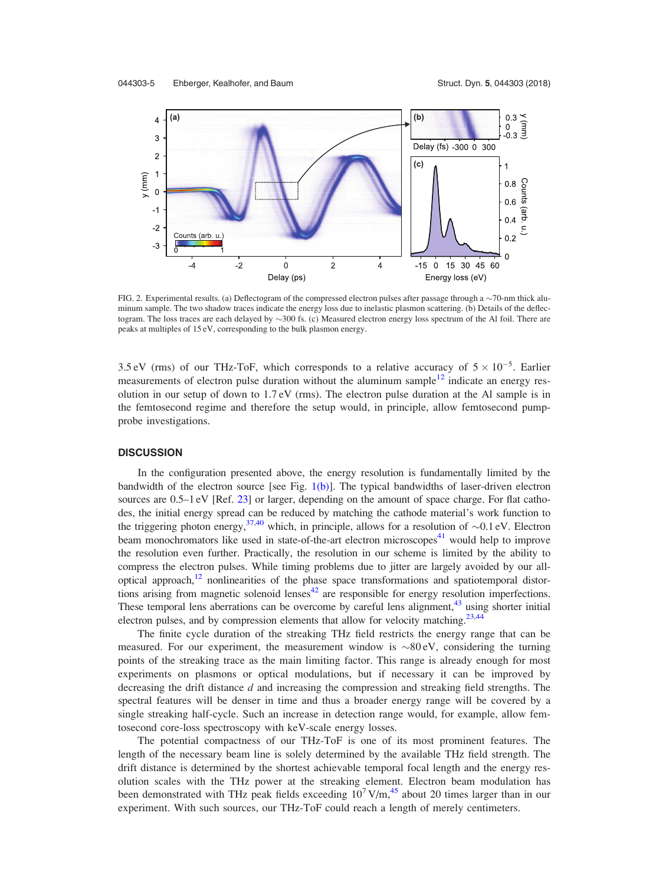<span id="page-5-0"></span>

FIG. 2. Experimental results. (a) Deflectogram of the compressed electron pulses after passage through a  $\sim$ 70-nm thick aluminum sample. The two shadow traces indicate the energy loss due to inelastic plasmon scattering. (b) Details of the deflectogram. The loss traces are each delayed by  $\sim$ 300 fs. (c) Measured electron energy loss spectrum of the Al foil. There are peaks at multiples of 15 eV, corresponding to the bulk plasmon energy.

3.5 eV (rms) of our THz-ToF, which corresponds to a relative accuracy of  $5 \times 10^{-5}$ . Earlier measurements of electron pulse duration without the aluminum sample $12$  indicate an energy resolution in our setup of down to 1.7 eV (rms). The electron pulse duration at the Al sample is in the femtosecond regime and therefore the setup would, in principle, allow femtosecond pumpprobe investigations.

### **DISCUSSION**

In the configuration presented above, the energy resolution is fundamentally limited by the bandwidth of the electron source [see Fig.  $1(b)$ ]. The typical bandwidths of laser-driven electron sources are  $0.5-1$  eV [Ref. [23](#page-8-0)] or larger, depending on the amount of space charge. For flat cathodes, the initial energy spread can be reduced by matching the cathode material's work function to the triggering photon energy,  $37,40$  which, in principle, allows for a resolution of  $\sim 0.1$  eV. Electron beam monochromators like used in state-of-the-art electron microscopes<sup>41</sup> would help to improve the resolution even further. Practically, the resolution in our scheme is limited by the ability to compress the electron pulses. While timing problems due to jitter are largely avoided by our alloptical approach, $12$  nonlinearities of the phase space transformations and spatiotemporal distortions arising from magnetic solenoid lenses<sup>42</sup> are responsible for energy resolution imperfections. These temporal lens aberrations can be overcome by careful lens alignment, $43$  using shorter initial electron pulses, and by compression elements that allow for velocity matching.<sup>[23,](#page-8-0)[44](#page-9-0)</sup>

The finite cycle duration of the streaking THz field restricts the energy range that can be measured. For our experiment, the measurement window is  $\sim 80 \text{ eV}$ , considering the turning points of the streaking trace as the main limiting factor. This range is already enough for most experiments on plasmons or optical modulations, but if necessary it can be improved by decreasing the drift distance  $d$  and increasing the compression and streaking field strengths. The spectral features will be denser in time and thus a broader energy range will be covered by a single streaking half-cycle. Such an increase in detection range would, for example, allow femtosecond core-loss spectroscopy with keV-scale energy losses.

The potential compactness of our THz-ToF is one of its most prominent features. The length of the necessary beam line is solely determined by the available THz field strength. The drift distance is determined by the shortest achievable temporal focal length and the energy resolution scales with the THz power at the streaking element. Electron beam modulation has been demonstrated with THz peak fields exceeding  $10^7$  V/m,<sup>45</sup> about 20 times larger than in our experiment. With such sources, our THz-ToF could reach a length of merely centimeters.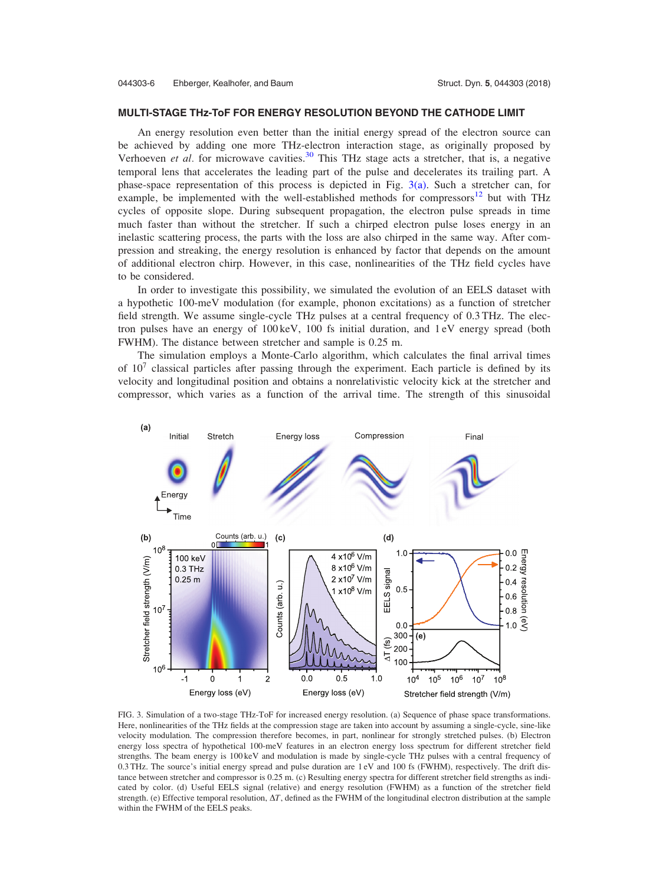#### <span id="page-6-0"></span>MULTI-STAGE THz-ToF FOR ENERGY RESOLUTION BEYOND THE CATHODE LIMIT

An energy resolution even better than the initial energy spread of the electron source can be achieved by adding one more THz-electron interaction stage, as originally proposed by Verhoeven *et al.* for microwave cavities.<sup>[30](#page-9-0)</sup> This THz stage acts a stretcher, that is, a negative temporal lens that accelerates the leading part of the pulse and decelerates its trailing part. A phase-space representation of this process is depicted in Fig. 3(a). Such a stretcher can, for example, be implemented with the well-established methods for compressors $12$  but with THz cycles of opposite slope. During subsequent propagation, the electron pulse spreads in time much faster than without the stretcher. If such a chirped electron pulse loses energy in an inelastic scattering process, the parts with the loss are also chirped in the same way. After compression and streaking, the energy resolution is enhanced by factor that depends on the amount of additional electron chirp. However, in this case, nonlinearities of the THz field cycles have to be considered.

In order to investigate this possibility, we simulated the evolution of an EELS dataset with a hypothetic 100-meV modulation (for example, phonon excitations) as a function of stretcher field strength. We assume single-cycle THz pulses at a central frequency of 0.3 THz. The electron pulses have an energy of 100 keV, 100 fs initial duration, and 1 eV energy spread (both FWHM). The distance between stretcher and sample is 0.25 m.

The simulation employs a Monte-Carlo algorithm, which calculates the final arrival times of  $10<sup>7</sup>$  classical particles after passing through the experiment. Each particle is defined by its velocity and longitudinal position and obtains a nonrelativistic velocity kick at the stretcher and compressor, which varies as a function of the arrival time. The strength of this sinusoidal



FIG. 3. Simulation of a two-stage THz-ToF for increased energy resolution. (a) Sequence of phase space transformations. Here, nonlinearities of the THz fields at the compression stage are taken into account by assuming a single-cycle, sine-like velocity modulation. The compression therefore becomes, in part, nonlinear for strongly stretched pulses. (b) Electron energy loss spectra of hypothetical 100-meV features in an electron energy loss spectrum for different stretcher field strengths. The beam energy is 100 keV and modulation is made by single-cycle THz pulses with a central frequency of 0.3 THz. The source's initial energy spread and pulse duration are 1 eV and 100 fs (FWHM), respectively. The drift distance between stretcher and compressor is 0.25 m. (c) Resulting energy spectra for different stretcher field strengths as indicated by color. (d) Useful EELS signal (relative) and energy resolution (FWHM) as a function of the stretcher field strength. (e) Effective temporal resolution,  $\Delta T$ , defined as the FWHM of the longitudinal electron distribution at the sample within the FWHM of the EELS peaks.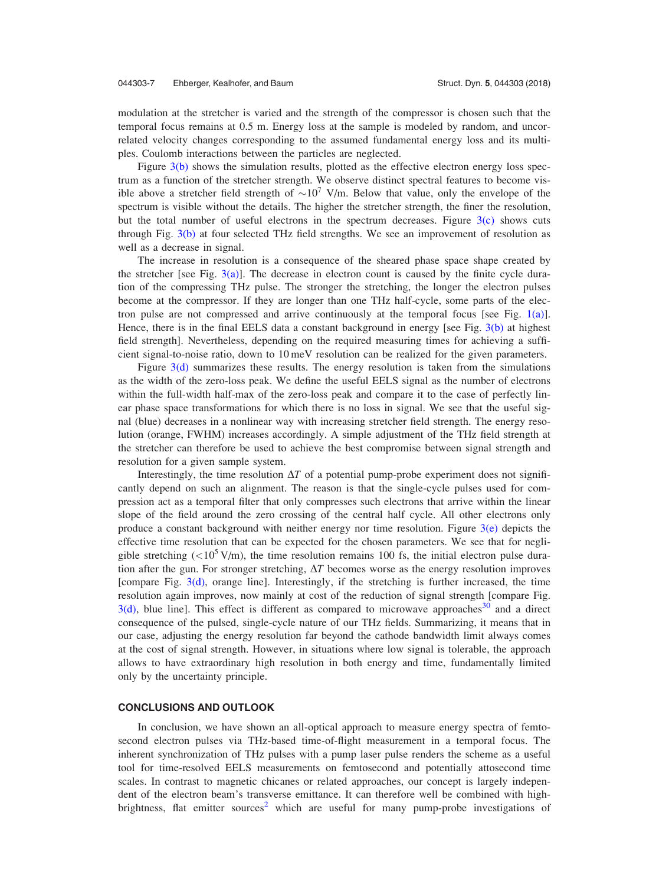modulation at the stretcher is varied and the strength of the compressor is chosen such that the temporal focus remains at 0.5 m. Energy loss at the sample is modeled by random, and uncorrelated velocity changes corresponding to the assumed fundamental energy loss and its multiples. Coulomb interactions between the particles are neglected.

Figure [3\(b\)](#page-6-0) shows the simulation results, plotted as the effective electron energy loss spectrum as a function of the stretcher strength. We observe distinct spectral features to become visible above a stretcher field strength of  $\sim 10^7$  V/m. Below that value, only the envelope of the spectrum is visible without the details. The higher the stretcher strength, the finer the resolution, but the total number of useful electrons in the spectrum decreases. Figure [3\(c\)](#page-6-0) shows cuts through Fig. [3\(b\)](#page-6-0) at four selected THz field strengths. We see an improvement of resolution as well as a decrease in signal.

The increase in resolution is a consequence of the sheared phase space shape created by the stretcher [see Fig.  $3(a)$ ]. The decrease in electron count is caused by the finite cycle duration of the compressing THz pulse. The stronger the stretching, the longer the electron pulses become at the compressor. If they are longer than one THz half-cycle, some parts of the elec-tron pulse are not compressed and arrive continuously at the temporal focus [see Fig. [1\(a\)](#page-3-0)]. Hence, there is in the final EELS data a constant background in energy [see Fig. [3\(b\)](#page-6-0) at highest field strength]. Nevertheless, depending on the required measuring times for achieving a sufficient signal-to-noise ratio, down to 10 meV resolution can be realized for the given parameters.

Figure  $3(d)$  summarizes these results. The energy resolution is taken from the simulations as the width of the zero-loss peak. We define the useful EELS signal as the number of electrons within the full-width half-max of the zero-loss peak and compare it to the case of perfectly linear phase space transformations for which there is no loss in signal. We see that the useful signal (blue) decreases in a nonlinear way with increasing stretcher field strength. The energy resolution (orange, FWHM) increases accordingly. A simple adjustment of the THz field strength at the stretcher can therefore be used to achieve the best compromise between signal strength and resolution for a given sample system.

Interestingly, the time resolution  $\Delta T$  of a potential pump-probe experiment does not significantly depend on such an alignment. The reason is that the single-cycle pulses used for compression act as a temporal filter that only compresses such electrons that arrive within the linear slope of the field around the zero crossing of the central half cycle. All other electrons only produce a constant background with neither energy nor time resolution. Figure  $3(e)$  depicts the effective time resolution that can be expected for the chosen parameters. We see that for negligible stretching  $(<10^5$  V/m), the time resolution remains 100 fs, the initial electron pulse duration after the gun. For stronger stretching,  $\Delta T$  becomes worse as the energy resolution improves [compare Fig. [3\(d\)](#page-6-0), orange line]. Interestingly, if the stretching is further increased, the time resolution again improves, now mainly at cost of the reduction of signal strength [compare Fig.  $3(d)$ , blue line]. This effect is different as compared to microwave approaches and a direct consequence of the pulsed, single-cycle nature of our THz fields. Summarizing, it means that in our case, adjusting the energy resolution far beyond the cathode bandwidth limit always comes at the cost of signal strength. However, in situations where low signal is tolerable, the approach allows to have extraordinary high resolution in both energy and time, fundamentally limited only by the uncertainty principle.

#### CONCLUSIONS AND OUTLOOK

In conclusion, we have shown an all-optical approach to measure energy spectra of femtosecond electron pulses via THz-based time-of-flight measurement in a temporal focus. The inherent synchronization of THz pulses with a pump laser pulse renders the scheme as a useful tool for time-resolved EELS measurements on femtosecond and potentially attosecond time scales. In contrast to magnetic chicanes or related approaches, our concept is largely independent of the electron beam's transverse emittance. It can therefore well be combined with high-brightness, flat emitter sources<sup>[2](#page-8-0)</sup> which are useful for many pump-probe investigations of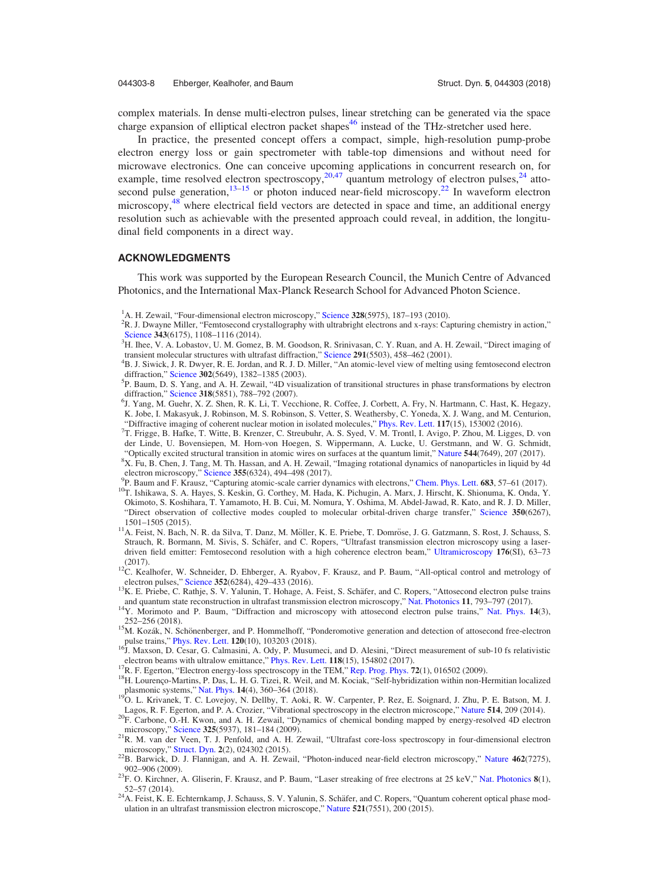<span id="page-8-0"></span>complex materials. In dense multi-electron pulses, linear stretching can be generated via the space charge expansion of elliptical electron packet shapes<sup>[46](#page-9-0)</sup> instead of the THz-stretcher used here.

In practice, the presented concept offers a compact, simple, high-resolution pump-probe electron energy loss or gain spectrometer with table-top dimensions and without need for microwave electronics. One can conceive upcoming applications in concurrent research on, for example, time resolved electron spectroscopy,  $20,47$  $20,47$  quantum metrology of electron pulses,  $24$  attosecond pulse generation,  $13-15$  or photon induced near-field microscopy.<sup>22</sup> In waveform electron microscopy,<sup>48</sup> where electrical field vectors are detected in space and time, an additional energy resolution such as achievable with the presented approach could reveal, in addition, the longitudinal field components in a direct way.

### ACKNOWLEDGMENTS

This work was supported by the European Research Council, the Munich Centre of Advanced Photonics, and the International Max-Planck Research School for Advanced Photon Science.

- <sup>2</sup>R. J. Dwayne Miller, "Femtosecond crystallography with ultrabright electrons and x-rays: Capturing chemistry in action," [Science](https://doi.org/10.1126/science.1248488) 343(6175), 1108–1116 (2014).
- <sup>3</sup>H. Ihee, V. A. Lobastov, U. M. Gomez, B. M. Goodson, R. Srinivasan, C. Y. Ruan, and A. H. Zewail, "Direct imaging of transient molecular structures with ultrafast diffraction," [Science](https://doi.org/10.1126/science.291.5503.458) 291(5503), 458-462 (2001).

- <sup>6</sup>J. Yang, M. Guehr, X. Z. Shen, R. K. Li, T. Vecchione, R. Coffee, J. Corbett, A. Fry, N. Hartmann, C. Hast, K. Hegazy, K. Jobe, I. Makasyuk, J. Robinson, M. S. Robinson, S. Vetter, S. Weathersby, C. Yoneda, X. J. Wang, and M. Centurion, "Diffractive imaging of coherent nuclear motion in isolated molecules," [Phys. Rev. Lett.](https://doi.org/10.1103/PhysRevLett.117.153002) 117(15), 153002 (2016).
- T. Frigge, B. Hafke, T. Witte, B. Krenzer, C. Streubuhr, A. S. Syed, V. M. Trontl, I. Avigo, P. Zhou, M. Ligges, D. von der Linde, U. Bovensiepen, M. Horn-von Hoegen, S. Wippermann, A. Lucke, U. Gerstmann, and W. G. Schmidt, "Optically excited structural transition in atomic wires on surfaces at the quantum limit," [Nature](https://doi.org/10.1038/nature21432) 544(7649), 207 (2017).
- <sup>8</sup>X. Fu, B. Chen, J. Tang, M. Th. Hassan, and A. H. Zewail, "Imaging rotational dynamics of nanoparticles in liquid by 4d
- electron microscopy," [Science](https://doi.org/10.1126/science.aah3582) 355(6324), 494–498 (2017).<br><sup>9</sup>P. Baum and F. Krausz, "Capturing atomic-scale carrier dynamics with electrons," Chem. Phys. Lett. 683, 57–61 (2017).
- <sup>10</sup>T. Ishikawa, S. A. Hayes, S. Keskin, G. Corthey, M. Hada, K. Pichugin, A. Marx, J. Hirscht, K. Shionuma, K. Onda, Y. Okimoto, S. Koshihara, T. Yamamoto, H. B. Cui, M. Nomura, Y. Oshima, M. Abdel-Jawad, R. Kato, and R. J. D. Miller, "Direct observation of collective modes coupled to molecular orbital-driven charge transfer," [Science](https://doi.org/10.1126/science.aab3480) 350(6267), 1501–1505 (2015).
- 11A. Feist, N. Bach, N. R. da Silva, T. Danz, M. Möller, K. E. Priebe, T. Domröse, J. G. Gatzmann, S. Rost, J. Schauss, S. Strauch, R. Bormann, M. Sivis, S. Schäfer, and C. Ropers, "Ultrafast transmission electron microscopy using a laserdriven field emitter: Femtosecond resolution with a high coherence electron beam," [Ultramicroscopy](https://doi.org/10.1016/j.ultramic.2016.12.005) 176(SI), 63–73
- (2017).<br><sup>12</sup>C. Kealhofer, W. Schneider, D. Ehberger, A. Ryabov, F. Krausz, and P. Baum, "All-optical control and metrology of electron pulses." Science 352(6284). 429–433 (2016).
- <sup>13</sup>K. E. Priebe, C. Rathje, S. V. Yalunin, T. Hohage, A. Feist, S. Schäfer, and C. Ropers, "Attosecond electron pulse trains and quantum state reconstruction in ultrafast transmission electron microscopy," Nat. Photonics
- <sup>14</sup>Y. Morimoto and P. Baum, "Diffraction and microscopy with attosecond electron pulse trains," [Nat. Phys.](https://doi.org/10.1038/s41567-017-0007-6) 14(3), 252–256 (2018).<br><sup>15</sup>M. Kozák, N. Schönenberger, and P. Hommelhoff, "Ponderomotive generation and detection of attosecond free-electron
- 
- pulse trains," [Phys. Rev. Lett.](https://doi.org/10.1103/PhysRevLett.120.103203) 120(10), 103203 (2018).<br><sup>16</sup>J. Maxson, D. Cesar, G. Calmasini, A. Ody, P. Musumeci, and D. Alesini, "Direct measurement of sub-10 fs relativistic electron beams with ultralow emittance," Phy
- <sup>17</sup>R. F. Egerton, "Electron energy-loss spectroscopy in the TEM," [Rep. Prog. Phys.](https://doi.org/10.1088/0034-4885/72/1/016502) 72(1), 016502 (2009).<br><sup>18</sup>H. Lourenço-Martins, P. Das, L. H. G. Tizei, R. Weil, and M. Kociak, "Self-hybridization within non-Hermitian lo plasmonic systems," [Nat. Phys.](https://doi.org/10.1038/s41567-017-0023-6) 14(4), 360–364 (2018). 19O. L. Krivanek, T. C. Lovejoy, N. Dellby, T. Aoki, R. W. Carpenter, P. Rez, E. Soignard, J. Zhu, P. E. Batson, M. J.
- 
- Lagos, R. F. Egerton, and P. A. Crozier, "Vibrational spectroscopy in the electron microscope," [Nature](https://doi.org/10.1038/nature13870) 514, 209 (2014).<br><sup>20</sup>F. Carbone, O.-H. Kwon, and A. H. Zewail, "Dynamics of chemical bonding mapped by energy-resolved
- <sup>21</sup>R. M. van der Veen, T. J. Penfold, and A. H. Zewail, "Ultrafast core-loss spectroscopy in four-dimensional electron microscopy," Struct. Dyn. 2(2), 024302 (2015).
- $m$ <sub>2</sub>B. Barwick, D. J. Flannigan, and A. H. Zewail, "Photon-induced near-field electron microscopy," [Nature](https://doi.org/10.1038/nature08662) 462(7275), 902–906 (2009). 23F. O. Kirchner, A. Gliserin, F. Krausz, and P. Baum, "Laser streaking of free electrons at 25 keV," [Nat. Photonics](https://doi.org/10.1038/nphoton.2013.315)  $8(1)$ ,
- 
- 52–57 (2014).<br><sup>24</sup>A. Feist, K. E. Echternkamp, J. Schauss, S. V. Yalunin, S. Schäfer, and C. Ropers, "Quantum coherent optical phase mod-ulation in an ultrafast transmission electron microscope," [Nature](https://doi.org/10.1038/nature14463) 521(7551),  $200$  (2015).

<sup>&</sup>lt;sup>1</sup>A. H. Zewail, "Four-dimensional electron microscopy," [Science](https://doi.org/10.1126/science.1166135) 328(5975), 187–193 (2010).<br><sup>2</sup>P. J. Dwayne Miller, "Femtosecond crystallography with ultrabright electrons and x rays: Ca

<sup>&</sup>lt;sup>4</sup>B. J. Siwick, J. R. Dwyer, R. E. Jordan, and R. J. D. Miller, "An atomic-level view of melting using femtosecond electron diffraction," [Science](https://doi.org/10.1126/science.1090052) 302(5649), 1382-1385 (2003).

 ${}^{5}P$ . Baum, D. S. Yang, and A. H. Zewail, "4D visualization of transitional structures in phase transformations by electron diffraction," [Science](https://doi.org/10.1126/science.1147724) 318(5851), 788-792 (2007).